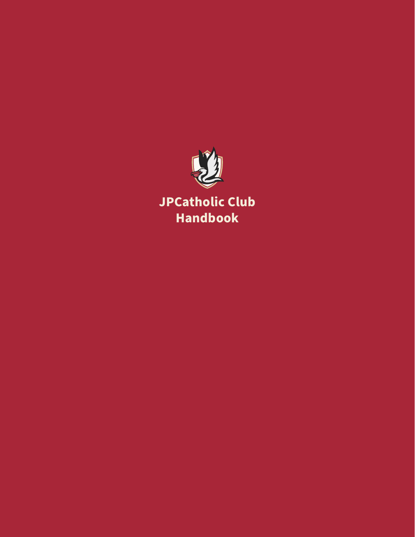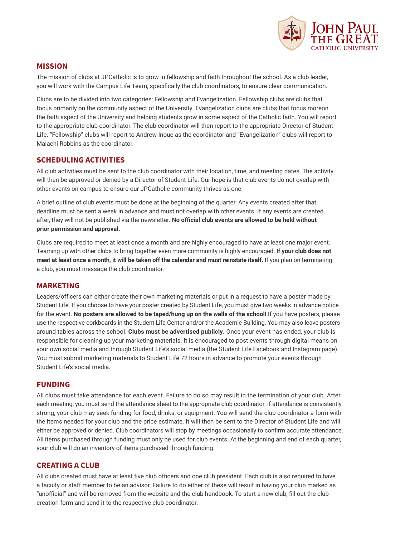

### **MISSION**

The mission of clubs at JPCatholic is to grow in fellowship and faith throughout the school. As a club leader, you will work with the Campus Life Team, specifically the club coordinators, to ensure clear communication.

Clubs are to be divided into two categories: Fellowship and Evangelization. Fellowship clubs are clubs that focus primarily on the community aspect of the University. Evangelization clubs are clubs that focus moreon the faith aspect of the University and helping students grow in some aspect of the Catholic faith. You will report to the appropriate club coordinator. The club coordinator will then report to the appropriate Director of Student Life. "Fellowship" clubs will report to Andrew Inoue as the coordinator and "Evangelization" clubs will report to Malachi Robbins as the coordinator.

## **SCHEDULING ACTIVITIES**

All club activities must be sent to the club coordinator with their location, time, and meeting dates. The activity will then be approved or denied by a Director of Student Life. Our hope is that club events do not overlap with other events on campus to ensure our JPCatholic community thrives as one.

A brief outline of club events must be done at the beginning of the quarter. Any events created after that deadline must be sent a week in advance and must not overlap with other events. If any events are created after, they will not be published via the newsletter. **No official club events are allowed to be held without prior permission and approval.**

Clubs are required to meet at least once a month and are highly encouraged to have at least one major event. Teaming up with other clubs to bring together even more community is highly encouraged. **If your club does not meet at least once a month, it will be taken off the calendar and must reinstate itself.** If you plan on terminating a club, you must message the club coordinator.

#### **MARKETING**

Leaders/officers can either create their own marketing materials or put in a request to have a poster made by Student Life. If you choose to have your poster created by Student Life, you must give two weeks in advance notice for the event. **No posters are allowed to be taped/hung up on the walls of the school!** If you have posters, please use the respective corkboards in the Student Life Center and/or the Academic Building. You may also leave posters around tables across the school. **Clubs must be advertised publicly.** Once your event has ended, your club is responsible for cleaning up your marketing materials. It is encouraged to post events through digital means on your own social media and through Student Life's social media (the Student Life Facebook and Instagram page). You must submit marketing materials to Student Life 72 hours in advance to promote your events through Student Life's social media.

#### **FUNDING**

All clubs must take attendance for each event. Failure to do so may result in the termination of your club. After each meeting, you must send the attendance sheet to the appropriate club coordinator. If attendance is consistently strong, your club may seek funding for food, drinks, or equipment. You will send the club coordinator a form with the items needed for your club and the price estimate. It will then be sent to the Director of Student Life and will either be approved or denied. Club coordinators will stop by meetings occasionally to confirm accurate attendance. All items purchased through funding must only be used for club events. At the beginning and end of each quarter, your club will do an inventory of items purchased through funding.

#### **CREATING A CLUB**

All clubs created must have at least five club officers and one club president. Each club is also required to have a faculty or staff member to be an advisor. Failure to do either of these will result in having your club marked as "unofficial" and will be removed from the website and the club handbook. To start a new club, fill out the club creation form and send it to the respective club coordinator.